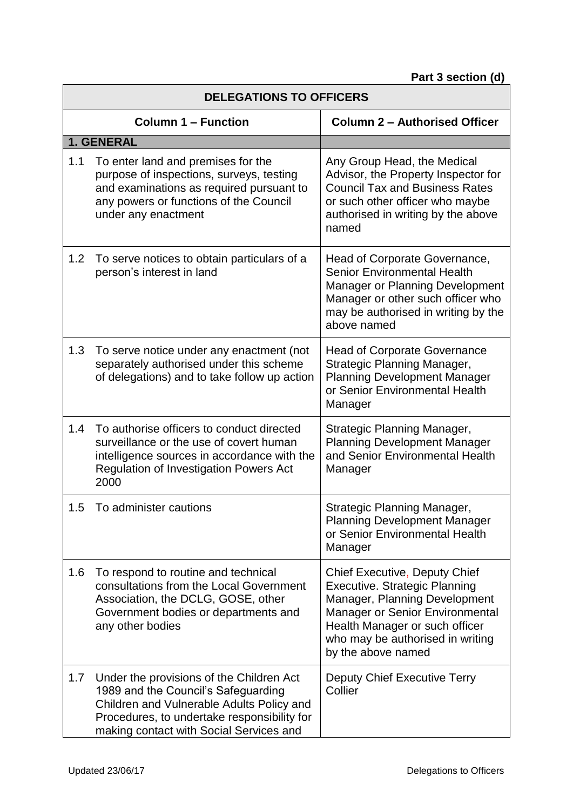| <b>DELEGATIONS TO OFFICERS</b> |                                                                                                                                                                                                                        |                                                                                                                                                                                                                                              |
|--------------------------------|------------------------------------------------------------------------------------------------------------------------------------------------------------------------------------------------------------------------|----------------------------------------------------------------------------------------------------------------------------------------------------------------------------------------------------------------------------------------------|
| <b>Column 1 - Function</b>     |                                                                                                                                                                                                                        | <b>Column 2 - Authorised Officer</b>                                                                                                                                                                                                         |
|                                | 1. GENERAL                                                                                                                                                                                                             |                                                                                                                                                                                                                                              |
| 1.1                            | To enter land and premises for the<br>purpose of inspections, surveys, testing<br>and examinations as required pursuant to<br>any powers or functions of the Council<br>under any enactment                            | Any Group Head, the Medical<br>Advisor, the Property Inspector for<br><b>Council Tax and Business Rates</b><br>or such other officer who maybe<br>authorised in writing by the above<br>named                                                |
| 1.2                            | To serve notices to obtain particulars of a<br>person's interest in land                                                                                                                                               | Head of Corporate Governance,<br><b>Senior Environmental Health</b><br><b>Manager or Planning Development</b><br>Manager or other such officer who<br>may be authorised in writing by the<br>above named                                     |
| 1.3                            | To serve notice under any enactment (not<br>separately authorised under this scheme<br>of delegations) and to take follow up action                                                                                    | <b>Head of Corporate Governance</b><br><b>Strategic Planning Manager,</b><br><b>Planning Development Manager</b><br>or Senior Environmental Health<br>Manager                                                                                |
| 1.4                            | To authorise officers to conduct directed<br>surveillance or the use of covert human<br>intelligence sources in accordance with the<br><b>Regulation of Investigation Powers Act</b><br>2000                           | Strategic Planning Manager,<br><b>Planning Development Manager</b><br>and Senior Environmental Health<br>Manager                                                                                                                             |
| 1.5                            | To administer cautions                                                                                                                                                                                                 | Strategic Planning Manager,<br><b>Planning Development Manager</b><br>or Senior Environmental Health<br>Manager                                                                                                                              |
| 1.6                            | To respond to routine and technical<br>consultations from the Local Government<br>Association, the DCLG, GOSE, other<br>Government bodies or departments and<br>any other bodies                                       | <b>Chief Executive, Deputy Chief</b><br><b>Executive. Strategic Planning</b><br>Manager, Planning Development<br>Manager or Senior Environmental<br>Health Manager or such officer<br>who may be authorised in writing<br>by the above named |
| 1.7                            | Under the provisions of the Children Act<br>1989 and the Council's Safeguarding<br>Children and Vulnerable Adults Policy and<br>Procedures, to undertake responsibility for<br>making contact with Social Services and | Deputy Chief Executive Terry<br>Collier                                                                                                                                                                                                      |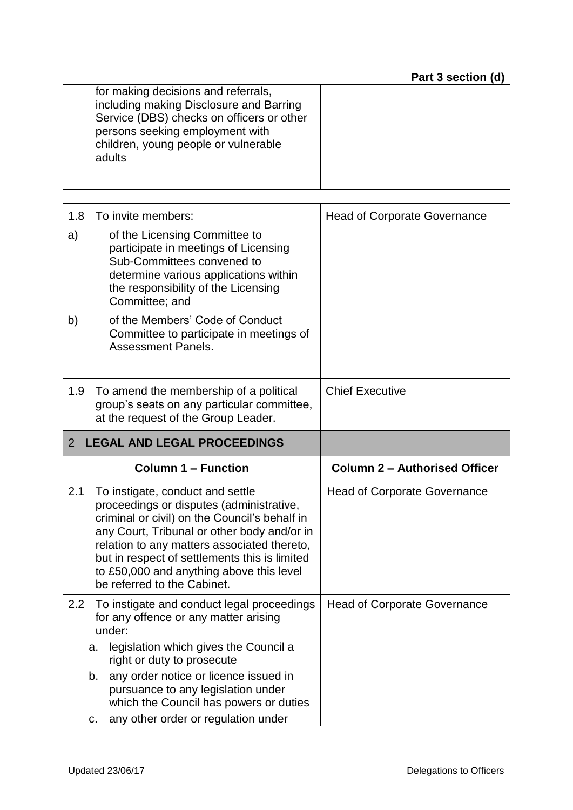| for making decisions and referrals,<br>including making Disclosure and Barring<br>Service (DBS) checks on officers or other<br>persons seeking employment with<br>children, young people or vulnerable<br>adults |  |
|------------------------------------------------------------------------------------------------------------------------------------------------------------------------------------------------------------------|--|
|                                                                                                                                                                                                                  |  |

| 1.8<br>a)<br>b)                         | To invite members:<br>of the Licensing Committee to<br>participate in meetings of Licensing<br>Sub-Committees convened to<br>determine various applications within<br>the responsibility of the Licensing<br>Committee; and<br>of the Members' Code of Conduct<br>Committee to participate in meetings of<br><b>Assessment Panels.</b>                  | <b>Head of Corporate Governance</b>  |
|-----------------------------------------|---------------------------------------------------------------------------------------------------------------------------------------------------------------------------------------------------------------------------------------------------------------------------------------------------------------------------------------------------------|--------------------------------------|
| 1.9                                     | To amend the membership of a political<br>group's seats on any particular committee,<br>at the request of the Group Leader.                                                                                                                                                                                                                             | <b>Chief Executive</b>               |
| <b>LEGAL AND LEGAL PROCEEDINGS</b><br>2 |                                                                                                                                                                                                                                                                                                                                                         |                                      |
|                                         | <b>Column 1 - Function</b>                                                                                                                                                                                                                                                                                                                              | <b>Column 2 - Authorised Officer</b> |
| 2.1                                     | To instigate, conduct and settle<br>proceedings or disputes (administrative,<br>criminal or civil) on the Council's behalf in<br>any Court, Tribunal or other body and/or in<br>relation to any matters associated thereto,<br>but in respect of settlements this is limited<br>to £50,000 and anything above this level<br>be referred to the Cabinet. | <b>Head of Corporate Governance</b>  |
| 2.2                                     | To instigate and conduct legal proceedings<br>for any offence or any matter arising<br>under:<br>legislation which gives the Council a<br>a.<br>right or duty to prosecute<br>any order notice or licence issued in<br>b.<br>pursuance to any legislation under                                                                                         | <b>Head of Corporate Governance</b>  |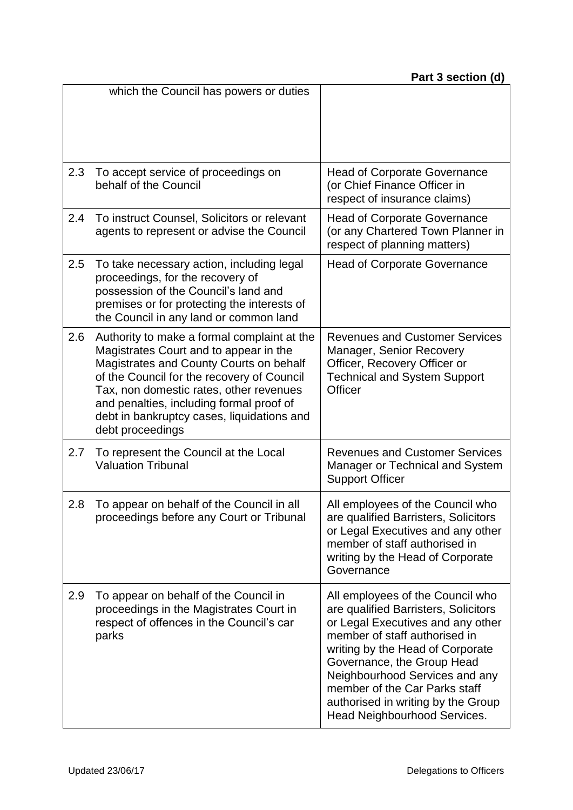|     | which the Council has powers or duties                                                                                                                                                                                                                                                                                                  |                                                                                                                                                                                                                                                                                                                                                           |
|-----|-----------------------------------------------------------------------------------------------------------------------------------------------------------------------------------------------------------------------------------------------------------------------------------------------------------------------------------------|-----------------------------------------------------------------------------------------------------------------------------------------------------------------------------------------------------------------------------------------------------------------------------------------------------------------------------------------------------------|
| 2.3 | To accept service of proceedings on<br>behalf of the Council                                                                                                                                                                                                                                                                            | <b>Head of Corporate Governance</b><br>(or Chief Finance Officer in<br>respect of insurance claims)                                                                                                                                                                                                                                                       |
| 2.4 | To instruct Counsel, Solicitors or relevant<br>agents to represent or advise the Council                                                                                                                                                                                                                                                | <b>Head of Corporate Governance</b><br>(or any Chartered Town Planner in<br>respect of planning matters)                                                                                                                                                                                                                                                  |
| 2.5 | To take necessary action, including legal<br>proceedings, for the recovery of<br>possession of the Council's land and<br>premises or for protecting the interests of<br>the Council in any land or common land                                                                                                                          | <b>Head of Corporate Governance</b>                                                                                                                                                                                                                                                                                                                       |
| 2.6 | Authority to make a formal complaint at the<br>Magistrates Court and to appear in the<br>Magistrates and County Courts on behalf<br>of the Council for the recovery of Council<br>Tax, non domestic rates, other revenues<br>and penalties, including formal proof of<br>debt in bankruptcy cases, liquidations and<br>debt proceedings | <b>Revenues and Customer Services</b><br>Manager, Senior Recovery<br>Officer, Recovery Officer or<br><b>Technical and System Support</b><br>Officer                                                                                                                                                                                                       |
| 2.7 | To represent the Council at the Local<br><b>Valuation Tribunal</b>                                                                                                                                                                                                                                                                      | <b>Revenues and Customer Services</b><br>Manager or Technical and System<br><b>Support Officer</b>                                                                                                                                                                                                                                                        |
| 2.8 | To appear on behalf of the Council in all<br>proceedings before any Court or Tribunal                                                                                                                                                                                                                                                   | All employees of the Council who<br>are qualified Barristers, Solicitors<br>or Legal Executives and any other<br>member of staff authorised in<br>writing by the Head of Corporate<br>Governance                                                                                                                                                          |
| 2.9 | To appear on behalf of the Council in<br>proceedings in the Magistrates Court in<br>respect of offences in the Council's car<br>parks                                                                                                                                                                                                   | All employees of the Council who<br>are qualified Barristers, Solicitors<br>or Legal Executives and any other<br>member of staff authorised in<br>writing by the Head of Corporate<br>Governance, the Group Head<br>Neighbourhood Services and any<br>member of the Car Parks staff<br>authorised in writing by the Group<br>Head Neighbourhood Services. |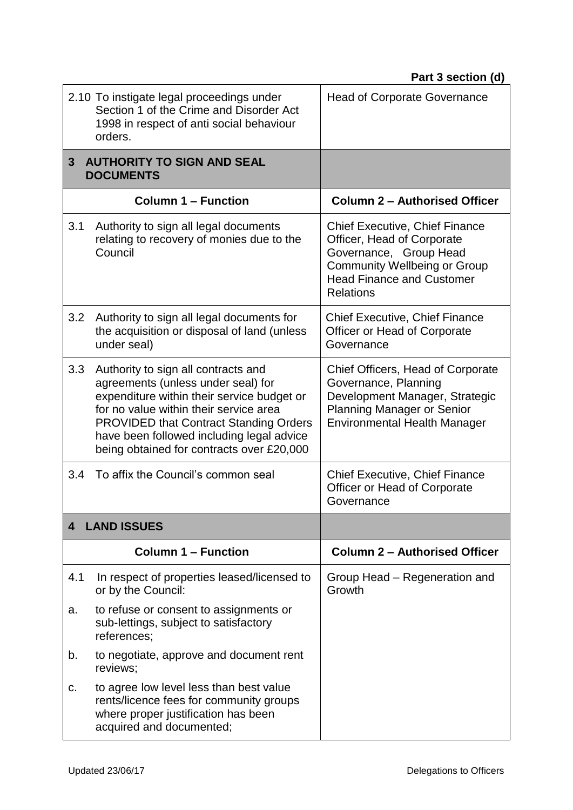|                | 2.10 To instigate legal proceedings under<br>Section 1 of the Crime and Disorder Act<br>1998 in respect of anti social behaviour<br>orders.                                                                                                                                                                  | <b>Head of Corporate Governance</b>                                                                                                                                                   |
|----------------|--------------------------------------------------------------------------------------------------------------------------------------------------------------------------------------------------------------------------------------------------------------------------------------------------------------|---------------------------------------------------------------------------------------------------------------------------------------------------------------------------------------|
| 3 <sup>2</sup> | <b>AUTHORITY TO SIGN AND SEAL</b><br><b>DOCUMENTS</b>                                                                                                                                                                                                                                                        |                                                                                                                                                                                       |
|                | <b>Column 1 – Function</b>                                                                                                                                                                                                                                                                                   | <b>Column 2 - Authorised Officer</b>                                                                                                                                                  |
| 3.1            | Authority to sign all legal documents<br>relating to recovery of monies due to the<br>Council                                                                                                                                                                                                                | Chief Executive, Chief Finance<br>Officer, Head of Corporate<br>Governance, Group Head<br><b>Community Wellbeing or Group</b><br><b>Head Finance and Customer</b><br><b>Relations</b> |
| 3.2            | Authority to sign all legal documents for<br>the acquisition or disposal of land (unless<br>under seal)                                                                                                                                                                                                      | <b>Chief Executive, Chief Finance</b><br>Officer or Head of Corporate<br>Governance                                                                                                   |
| 3.3            | Authority to sign all contracts and<br>agreements (unless under seal) for<br>expenditure within their service budget or<br>for no value within their service area<br><b>PROVIDED that Contract Standing Orders</b><br>have been followed including legal advice<br>being obtained for contracts over £20,000 | Chief Officers, Head of Corporate<br>Governance, Planning<br>Development Manager, Strategic<br><b>Planning Manager or Senior</b><br><b>Environmental Health Manager</b>               |
| 3.4            | To affix the Council's common seal                                                                                                                                                                                                                                                                           | <b>Chief Executive, Chief Finance</b><br>Officer or Head of Corporate<br>Governance                                                                                                   |
| 4              | <b>LAND ISSUES</b>                                                                                                                                                                                                                                                                                           |                                                                                                                                                                                       |
|                | <b>Column 1 – Function</b>                                                                                                                                                                                                                                                                                   | <b>Column 2 - Authorised Officer</b>                                                                                                                                                  |
| 4.1            | In respect of properties leased/licensed to<br>or by the Council:                                                                                                                                                                                                                                            | Group Head – Regeneration and<br>Growth                                                                                                                                               |
| a.             | to refuse or consent to assignments or<br>sub-lettings, subject to satisfactory<br>references;                                                                                                                                                                                                               |                                                                                                                                                                                       |
| b.             | to negotiate, approve and document rent<br>reviews;                                                                                                                                                                                                                                                          |                                                                                                                                                                                       |
| c.             | to agree low level less than best value<br>rents/licence fees for community groups<br>where proper justification has been<br>acquired and documented;                                                                                                                                                        |                                                                                                                                                                                       |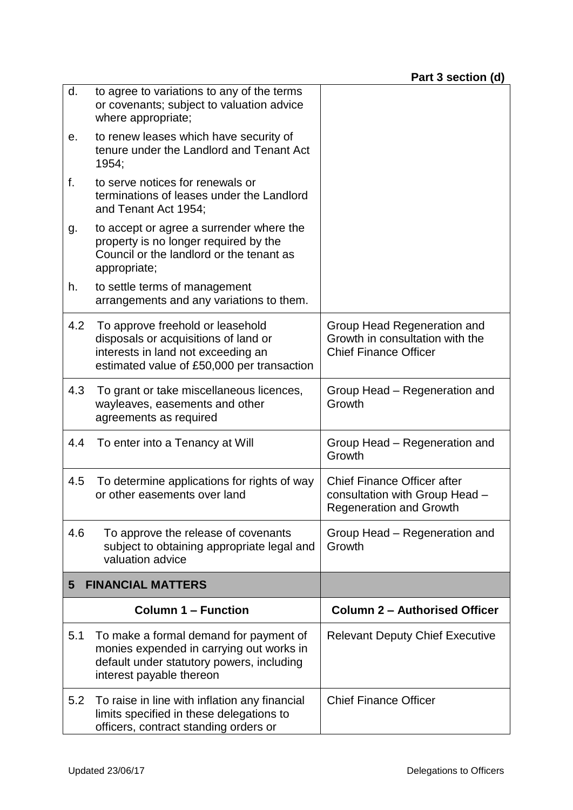| d.  | to agree to variations to any of the terms<br>or covenants; subject to valuation advice<br>where appropriate;                                                |                                                                                                        |
|-----|--------------------------------------------------------------------------------------------------------------------------------------------------------------|--------------------------------------------------------------------------------------------------------|
| е.  | to renew leases which have security of<br>tenure under the Landlord and Tenant Act<br>1954;                                                                  |                                                                                                        |
| f.  | to serve notices for renewals or<br>terminations of leases under the Landlord<br>and Tenant Act 1954;                                                        |                                                                                                        |
| g.  | to accept or agree a surrender where the<br>property is no longer required by the<br>Council or the landlord or the tenant as<br>appropriate;                |                                                                                                        |
| h.  | to settle terms of management<br>arrangements and any variations to them.                                                                                    |                                                                                                        |
| 4.2 | To approve freehold or leasehold<br>disposals or acquisitions of land or<br>interests in land not exceeding an<br>estimated value of £50,000 per transaction | Group Head Regeneration and<br>Growth in consultation with the<br><b>Chief Finance Officer</b>         |
| 4.3 | To grant or take miscellaneous licences,<br>wayleaves, easements and other<br>agreements as required                                                         | Group Head – Regeneration and<br>Growth                                                                |
| 4.4 | To enter into a Tenancy at Will                                                                                                                              | Group Head – Regeneration and<br>Growth                                                                |
| 4.5 | To determine applications for rights of way<br>or other easements over land                                                                                  | <b>Chief Finance Officer after</b><br>consultation with Group Head -<br><b>Regeneration and Growth</b> |
| 4.6 | To approve the release of covenants<br>subject to obtaining appropriate legal and<br>valuation advice                                                        | Group Head - Regeneration and<br>Growth                                                                |
| 5   | <b>FINANCIAL MATTERS</b>                                                                                                                                     |                                                                                                        |
|     | <b>Column 1 – Function</b>                                                                                                                                   | <b>Column 2 - Authorised Officer</b>                                                                   |
| 5.1 | To make a formal demand for payment of<br>monies expended in carrying out works in<br>default under statutory powers, including<br>interest payable thereon  | <b>Relevant Deputy Chief Executive</b>                                                                 |
| 5.2 | To raise in line with inflation any financial<br>limits specified in these delegations to<br>officers, contract standing orders or                           | <b>Chief Finance Officer</b>                                                                           |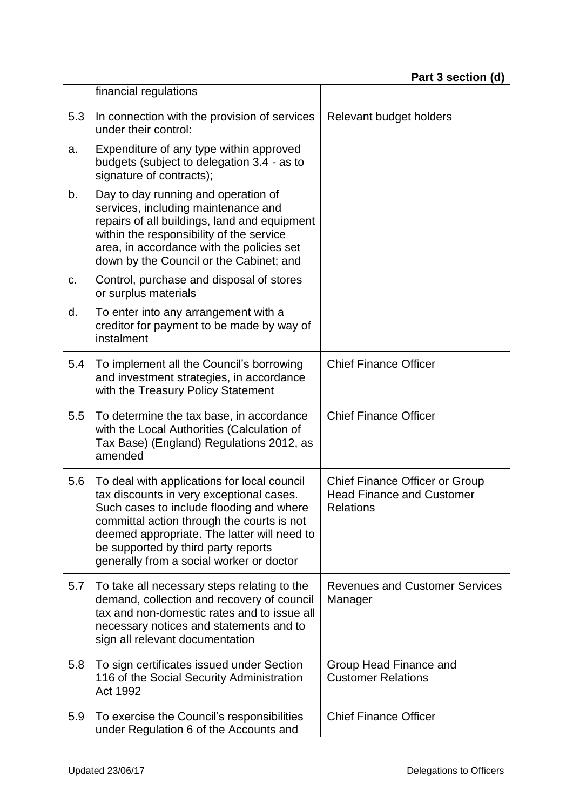|     | financial regulations                                                                                                                                                                                                                                                                                               |                                                                                               |
|-----|---------------------------------------------------------------------------------------------------------------------------------------------------------------------------------------------------------------------------------------------------------------------------------------------------------------------|-----------------------------------------------------------------------------------------------|
| 5.3 | In connection with the provision of services<br>under their control:                                                                                                                                                                                                                                                | Relevant budget holders                                                                       |
| a.  | Expenditure of any type within approved<br>budgets (subject to delegation 3.4 - as to<br>signature of contracts);                                                                                                                                                                                                   |                                                                                               |
| b.  | Day to day running and operation of<br>services, including maintenance and<br>repairs of all buildings, land and equipment<br>within the responsibility of the service<br>area, in accordance with the policies set<br>down by the Council or the Cabinet; and                                                      |                                                                                               |
| c.  | Control, purchase and disposal of stores<br>or surplus materials                                                                                                                                                                                                                                                    |                                                                                               |
| d.  | To enter into any arrangement with a<br>creditor for payment to be made by way of<br>instalment                                                                                                                                                                                                                     |                                                                                               |
| 5.4 | To implement all the Council's borrowing<br>and investment strategies, in accordance<br>with the Treasury Policy Statement                                                                                                                                                                                          | <b>Chief Finance Officer</b>                                                                  |
| 5.5 | To determine the tax base, in accordance<br>with the Local Authorities (Calculation of<br>Tax Base) (England) Regulations 2012, as<br>amended                                                                                                                                                                       | <b>Chief Finance Officer</b>                                                                  |
| 5.6 | To deal with applications for local council<br>tax discounts in very exceptional cases.<br>Such cases to include flooding and where<br>committal action through the courts is not<br>deemed appropriate. The latter will need to<br>be supported by third party reports<br>generally from a social worker or doctor | <b>Chief Finance Officer or Group</b><br><b>Head Finance and Customer</b><br><b>Relations</b> |
| 5.7 | To take all necessary steps relating to the<br>demand, collection and recovery of council<br>tax and non-domestic rates and to issue all<br>necessary notices and statements and to<br>sign all relevant documentation                                                                                              | <b>Revenues and Customer Services</b><br>Manager                                              |
| 5.8 | To sign certificates issued under Section<br>116 of the Social Security Administration<br>Act 1992                                                                                                                                                                                                                  | Group Head Finance and<br><b>Customer Relations</b>                                           |
| 5.9 | To exercise the Council's responsibilities<br>under Regulation 6 of the Accounts and                                                                                                                                                                                                                                | <b>Chief Finance Officer</b>                                                                  |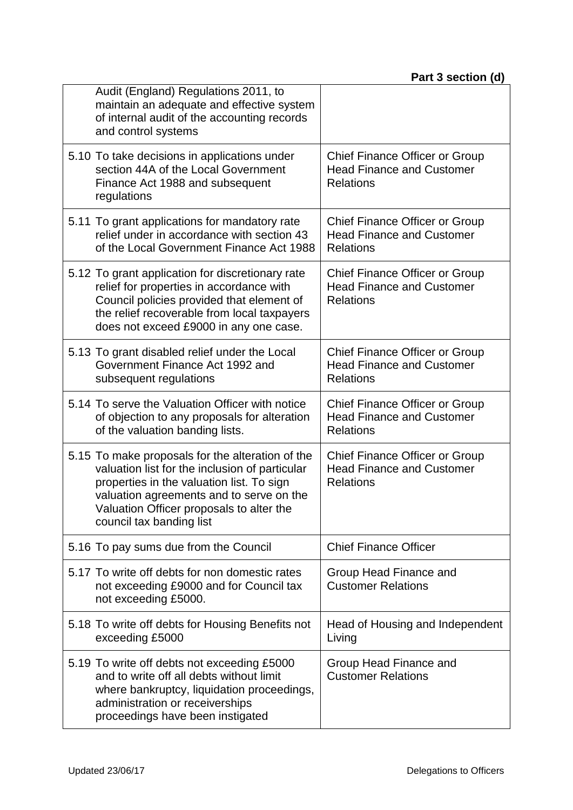| Audit (England) Regulations 2011, to<br>maintain an adequate and effective system<br>of internal audit of the accounting records<br>and control systems                                                                                                             |                                                                                               |
|---------------------------------------------------------------------------------------------------------------------------------------------------------------------------------------------------------------------------------------------------------------------|-----------------------------------------------------------------------------------------------|
| 5.10 To take decisions in applications under<br>section 44A of the Local Government<br>Finance Act 1988 and subsequent<br>regulations                                                                                                                               | <b>Chief Finance Officer or Group</b><br><b>Head Finance and Customer</b><br><b>Relations</b> |
| 5.11 To grant applications for mandatory rate<br>relief under in accordance with section 43<br>of the Local Government Finance Act 1988                                                                                                                             | <b>Chief Finance Officer or Group</b><br><b>Head Finance and Customer</b><br><b>Relations</b> |
| 5.12 To grant application for discretionary rate<br>relief for properties in accordance with<br>Council policies provided that element of<br>the relief recoverable from local taxpayers<br>does not exceed £9000 in any one case.                                  | Chief Finance Officer or Group<br><b>Head Finance and Customer</b><br><b>Relations</b>        |
| 5.13 To grant disabled relief under the Local<br>Government Finance Act 1992 and<br>subsequent regulations                                                                                                                                                          | Chief Finance Officer or Group<br><b>Head Finance and Customer</b><br><b>Relations</b>        |
| 5.14 To serve the Valuation Officer with notice<br>of objection to any proposals for alteration<br>of the valuation banding lists.                                                                                                                                  | <b>Chief Finance Officer or Group</b><br><b>Head Finance and Customer</b><br><b>Relations</b> |
| 5.15 To make proposals for the alteration of the<br>valuation list for the inclusion of particular<br>properties in the valuation list. To sign<br>valuation agreements and to serve on the<br>Valuation Officer proposals to alter the<br>council tax banding list | Chief Finance Officer or Group<br><b>Head Finance and Customer</b><br><b>Relations</b>        |
| 5.16 To pay sums due from the Council                                                                                                                                                                                                                               | <b>Chief Finance Officer</b>                                                                  |
| 5.17 To write off debts for non domestic rates<br>not exceeding £9000 and for Council tax<br>not exceeding £5000.                                                                                                                                                   | Group Head Finance and<br><b>Customer Relations</b>                                           |
| 5.18 To write off debts for Housing Benefits not<br>exceeding £5000                                                                                                                                                                                                 | Head of Housing and Independent<br>Living                                                     |
| 5.19 To write off debts not exceeding £5000<br>and to write off all debts without limit<br>where bankruptcy, liquidation proceedings,<br>administration or receiverships<br>proceedings have been instigated                                                        | Group Head Finance and<br><b>Customer Relations</b>                                           |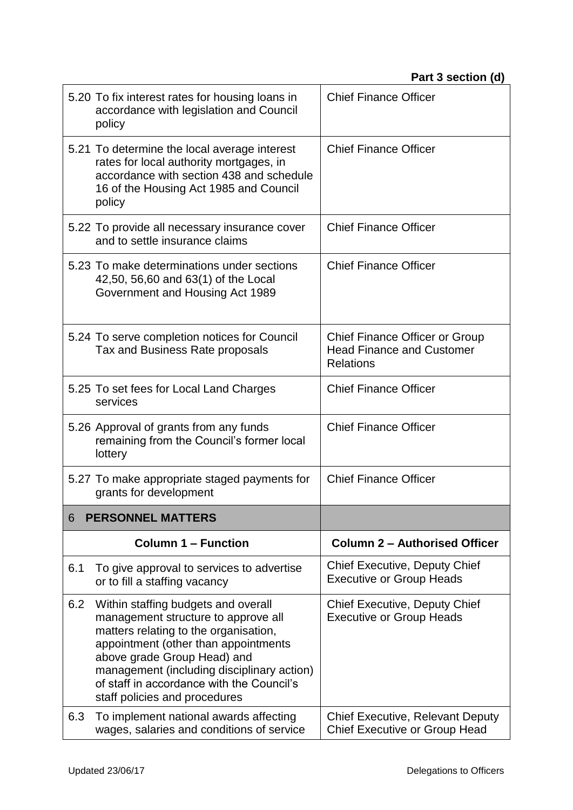|       | 5.20 To fix interest rates for housing loans in<br>accordance with legislation and Council<br>policy                                                                                       | <b>Chief Finance Officer</b>                                                                  |
|-------|--------------------------------------------------------------------------------------------------------------------------------------------------------------------------------------------|-----------------------------------------------------------------------------------------------|
|       | 5.21 To determine the local average interest<br>rates for local authority mortgages, in<br>accordance with section 438 and schedule<br>16 of the Housing Act 1985 and Council<br>policy    | <b>Chief Finance Officer</b>                                                                  |
|       | 5.22 To provide all necessary insurance cover<br>and to settle insurance claims                                                                                                            | <b>Chief Finance Officer</b>                                                                  |
|       | 5.23 To make determinations under sections<br>42,50, 56,60 and 63(1) of the Local<br>Government and Housing Act 1989                                                                       | <b>Chief Finance Officer</b>                                                                  |
|       | 5.24 To serve completion notices for Council<br>Tax and Business Rate proposals                                                                                                            | <b>Chief Finance Officer or Group</b><br><b>Head Finance and Customer</b><br><b>Relations</b> |
|       | 5.25 To set fees for Local Land Charges<br>services                                                                                                                                        | <b>Chief Finance Officer</b>                                                                  |
|       | 5.26 Approval of grants from any funds<br>remaining from the Council's former local<br>lottery                                                                                             | <b>Chief Finance Officer</b>                                                                  |
|       | 5.27 To make appropriate staged payments for<br>grants for development                                                                                                                     | <b>Chief Finance Officer</b>                                                                  |
| $6 -$ | <b>PERSONNEL MATTERS</b>                                                                                                                                                                   |                                                                                               |
|       | <b>Column 1 – Function</b>                                                                                                                                                                 | <b>Column 2 - Authorised Officer</b>                                                          |
| 6.1   | To give approval to services to advertise<br>or to fill a staffing vacancy                                                                                                                 | <b>Chief Executive, Deputy Chief</b><br><b>Executive or Group Heads</b>                       |
| 6.2   | Within staffing budgets and overall<br>management structure to approve all<br>matters relating to the organisation,<br>appointment (other than appointments<br>above grade Group Head) and | <b>Chief Executive, Deputy Chief</b><br><b>Executive or Group Heads</b>                       |
|       | management (including disciplinary action)<br>of staff in accordance with the Council's<br>staff policies and procedures                                                                   |                                                                                               |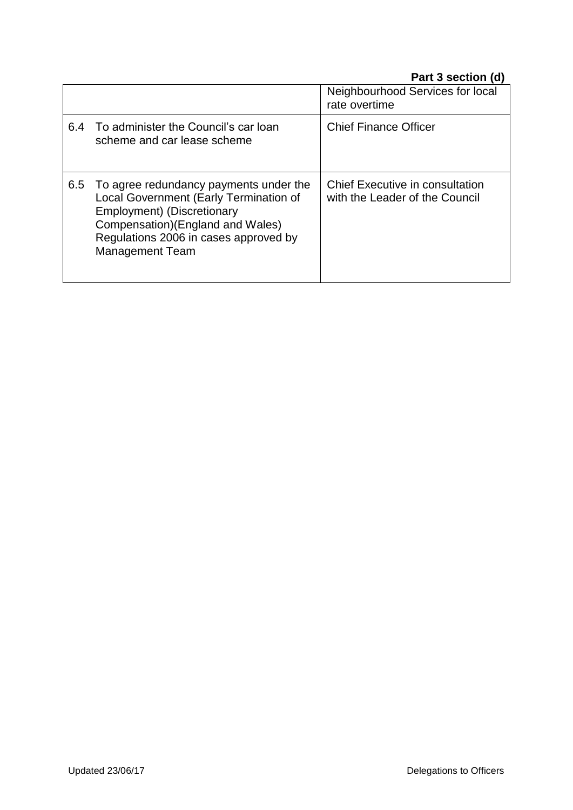|     |                                                                                                                                                                                                                        | Neighbourhood Services for local<br>rate overtime                 |
|-----|------------------------------------------------------------------------------------------------------------------------------------------------------------------------------------------------------------------------|-------------------------------------------------------------------|
| 6.4 | To administer the Council's car loan<br>scheme and car lease scheme                                                                                                                                                    | <b>Chief Finance Officer</b>                                      |
| 6.5 | To agree redundancy payments under the<br>Local Government (Early Termination of<br>Employment) (Discretionary<br>Compensation) (England and Wales)<br>Regulations 2006 in cases approved by<br><b>Management Team</b> | Chief Executive in consultation<br>with the Leader of the Council |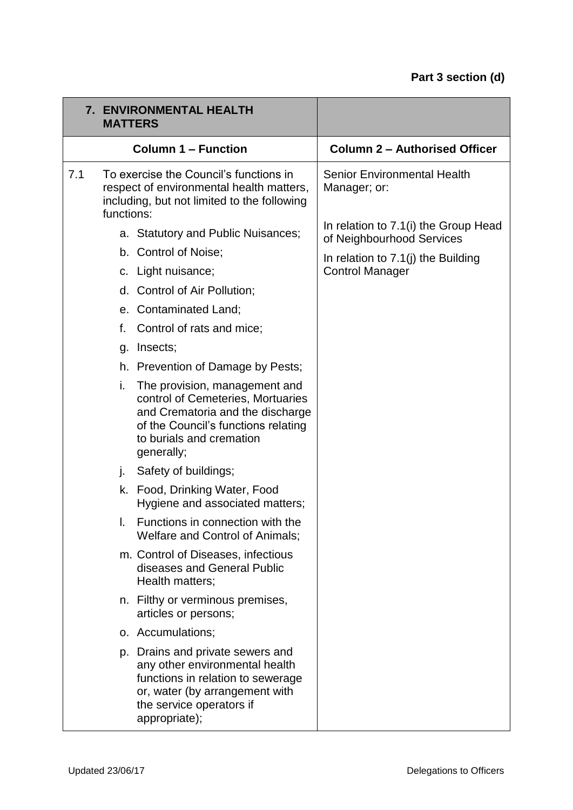| <b>7. ENVIRONMENTAL HEALTH</b><br><b>MATTERS</b> |            |                                                                                                                                                                                         |                                                                   |
|--------------------------------------------------|------------|-----------------------------------------------------------------------------------------------------------------------------------------------------------------------------------------|-------------------------------------------------------------------|
|                                                  |            | <b>Column 1 - Function</b>                                                                                                                                                              | <b>Column 2 - Authorised Officer</b>                              |
| 7.1                                              | functions: | To exercise the Council's functions in<br>respect of environmental health matters,<br>including, but not limited to the following                                                       | <b>Senior Environmental Health</b><br>Manager; or:                |
|                                                  |            | a. Statutory and Public Nuisances;                                                                                                                                                      | In relation to 7.1(i) the Group Head<br>of Neighbourhood Services |
|                                                  |            | b. Control of Noise;                                                                                                                                                                    | In relation to $7.1$ (j) the Building                             |
|                                                  |            | c. Light nuisance;                                                                                                                                                                      | <b>Control Manager</b>                                            |
|                                                  |            | d. Control of Air Pollution;                                                                                                                                                            |                                                                   |
|                                                  | е.         | <b>Contaminated Land;</b>                                                                                                                                                               |                                                                   |
|                                                  | f.         | Control of rats and mice;                                                                                                                                                               |                                                                   |
|                                                  | g.         | Insects;                                                                                                                                                                                |                                                                   |
|                                                  |            | h. Prevention of Damage by Pests;                                                                                                                                                       |                                                                   |
|                                                  | i.         | The provision, management and<br>control of Cemeteries, Mortuaries<br>and Crematoria and the discharge<br>of the Council's functions relating<br>to burials and cremation<br>generally; |                                                                   |
|                                                  | j.         | Safety of buildings;                                                                                                                                                                    |                                                                   |
|                                                  |            | k. Food, Drinking Water, Food<br>Hygiene and associated matters;                                                                                                                        |                                                                   |
|                                                  | I.         | Functions in connection with the<br>Welfare and Control of Animals;                                                                                                                     |                                                                   |
|                                                  |            | m. Control of Diseases, infectious<br>diseases and General Public<br>Health matters;                                                                                                    |                                                                   |
|                                                  |            | n. Filthy or verminous premises,<br>articles or persons;                                                                                                                                |                                                                   |
|                                                  |            | o. Accumulations;                                                                                                                                                                       |                                                                   |
|                                                  |            | p. Drains and private sewers and<br>any other environmental health<br>functions in relation to sewerage<br>or, water (by arrangement with<br>the service operators if<br>appropriate);  |                                                                   |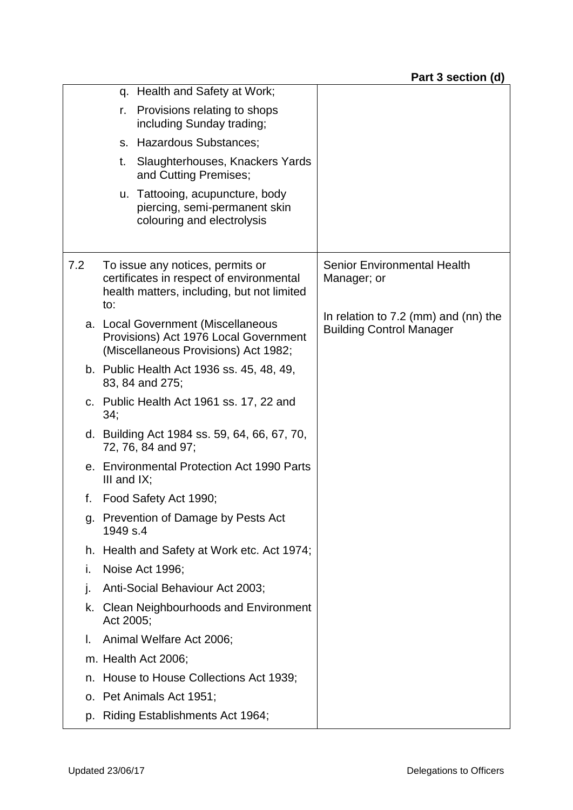|     | q. Health and Safety at Work;                                                                                                     |                                                                           |
|-----|-----------------------------------------------------------------------------------------------------------------------------------|---------------------------------------------------------------------------|
|     | Provisions relating to shops<br>r.<br>including Sunday trading;                                                                   |                                                                           |
|     | s. Hazardous Substances;                                                                                                          |                                                                           |
|     | Slaughterhouses, Knackers Yards<br>t.<br>and Cutting Premises;                                                                    |                                                                           |
|     | u. Tattooing, acupuncture, body<br>piercing, semi-permanent skin<br>colouring and electrolysis                                    |                                                                           |
| 7.2 | To issue any notices, permits or<br>certificates in respect of environmental<br>health matters, including, but not limited<br>to: | <b>Senior Environmental Health</b><br>Manager; or                         |
|     | a. Local Government (Miscellaneous<br>Provisions) Act 1976 Local Government<br>(Miscellaneous Provisions) Act 1982;               | In relation to $7.2$ (mm) and (nn) the<br><b>Building Control Manager</b> |
|     | b. Public Health Act 1936 ss. 45, 48, 49,<br>83, 84 and 275;                                                                      |                                                                           |
|     | c. Public Health Act 1961 ss. 17, 22 and<br>34;                                                                                   |                                                                           |
|     | d. Building Act 1984 ss. 59, 64, 66, 67, 70,<br>72, 76, 84 and 97;                                                                |                                                                           |
|     | e. Environmental Protection Act 1990 Parts<br>III and $IX$ ;                                                                      |                                                                           |
| f.  | Food Safety Act 1990;                                                                                                             |                                                                           |
| g.  | Prevention of Damage by Pests Act<br>1949 s.4                                                                                     |                                                                           |
|     | h. Health and Safety at Work etc. Act 1974;                                                                                       |                                                                           |
| i.  | Noise Act 1996;                                                                                                                   |                                                                           |
| j.  | Anti-Social Behaviour Act 2003;                                                                                                   |                                                                           |
|     | k. Clean Neighbourhoods and Environment<br>Act 2005;                                                                              |                                                                           |
| L.  | Animal Welfare Act 2006;                                                                                                          |                                                                           |
|     | m. Health Act 2006;                                                                                                               |                                                                           |
| n.  | House to House Collections Act 1939;                                                                                              |                                                                           |
|     | o. Pet Animals Act 1951;                                                                                                          |                                                                           |
|     | p. Riding Establishments Act 1964;                                                                                                |                                                                           |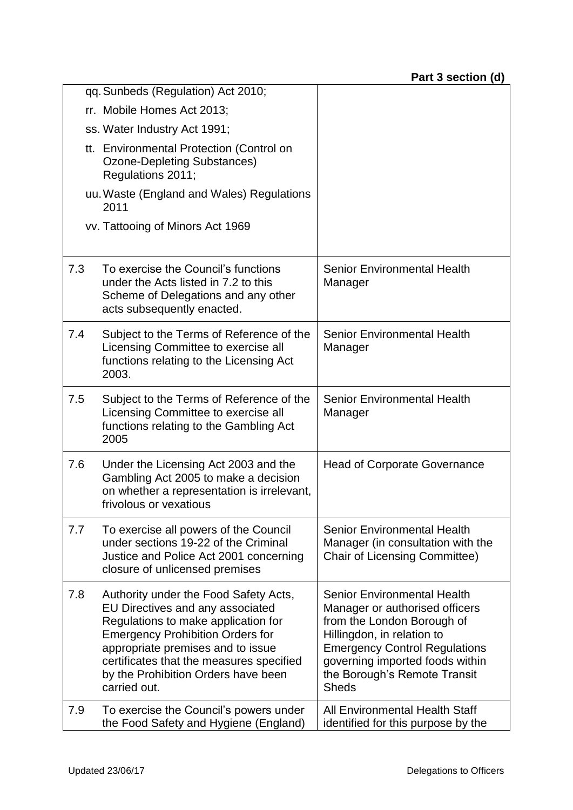|     | qq. Sunbeds (Regulation) Act 2010;                                                                                                                                                                                                                                                                  |                                                                                                                                                                                                                                                             |
|-----|-----------------------------------------------------------------------------------------------------------------------------------------------------------------------------------------------------------------------------------------------------------------------------------------------------|-------------------------------------------------------------------------------------------------------------------------------------------------------------------------------------------------------------------------------------------------------------|
|     | rr. Mobile Homes Act 2013;                                                                                                                                                                                                                                                                          |                                                                                                                                                                                                                                                             |
|     | ss. Water Industry Act 1991;                                                                                                                                                                                                                                                                        |                                                                                                                                                                                                                                                             |
|     | tt. Environmental Protection (Control on<br>Ozone-Depleting Substances)<br>Regulations 2011;                                                                                                                                                                                                        |                                                                                                                                                                                                                                                             |
|     | uu. Waste (England and Wales) Regulations<br>2011                                                                                                                                                                                                                                                   |                                                                                                                                                                                                                                                             |
|     | vv. Tattooing of Minors Act 1969                                                                                                                                                                                                                                                                    |                                                                                                                                                                                                                                                             |
| 7.3 | To exercise the Council's functions<br>under the Acts listed in 7.2 to this<br>Scheme of Delegations and any other<br>acts subsequently enacted.                                                                                                                                                    | <b>Senior Environmental Health</b><br>Manager                                                                                                                                                                                                               |
| 7.4 | Subject to the Terms of Reference of the<br>Licensing Committee to exercise all<br>functions relating to the Licensing Act<br>2003.                                                                                                                                                                 | Senior Environmental Health<br>Manager                                                                                                                                                                                                                      |
| 7.5 | Subject to the Terms of Reference of the<br>Licensing Committee to exercise all<br>functions relating to the Gambling Act<br>2005                                                                                                                                                                   | <b>Senior Environmental Health</b><br>Manager                                                                                                                                                                                                               |
| 7.6 | Under the Licensing Act 2003 and the<br>Gambling Act 2005 to make a decision<br>on whether a representation is irrelevant,<br>frivolous or vexatious                                                                                                                                                | <b>Head of Corporate Governance</b>                                                                                                                                                                                                                         |
| 7.7 | To exercise all powers of the Council<br>under sections 19-22 of the Criminal<br>Justice and Police Act 2001 concerning<br>closure of unlicensed premises                                                                                                                                           | <b>Senior Environmental Health</b><br>Manager (in consultation with the<br><b>Chair of Licensing Committee)</b>                                                                                                                                             |
| 7.8 | Authority under the Food Safety Acts,<br>EU Directives and any associated<br>Regulations to make application for<br><b>Emergency Prohibition Orders for</b><br>appropriate premises and to issue<br>certificates that the measures specified<br>by the Prohibition Orders have been<br>carried out. | <b>Senior Environmental Health</b><br>Manager or authorised officers<br>from the London Borough of<br>Hillingdon, in relation to<br><b>Emergency Control Regulations</b><br>governing imported foods within<br>the Borough's Remote Transit<br><b>Sheds</b> |
| 7.9 | To exercise the Council's powers under<br>the Food Safety and Hygiene (England)                                                                                                                                                                                                                     | All Environmental Health Staff<br>identified for this purpose by the                                                                                                                                                                                        |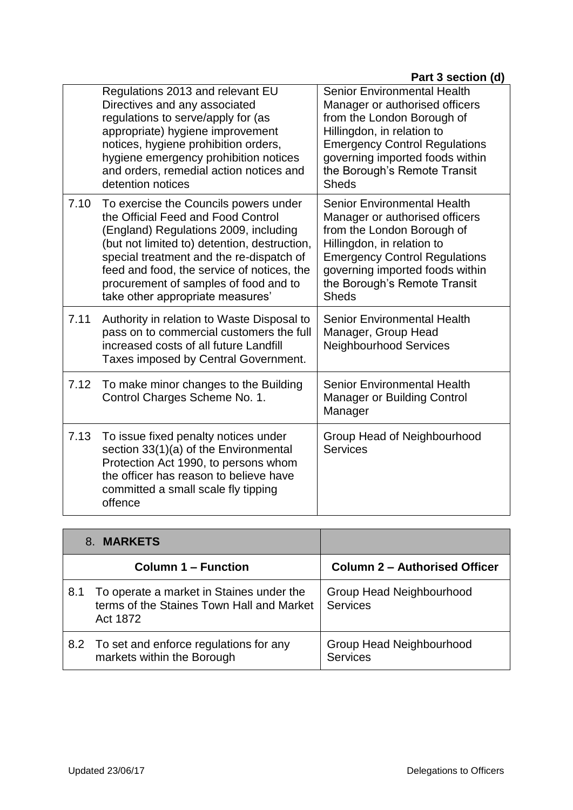|      | Regulations 2013 and relevant EU<br>Directives and any associated<br>regulations to serve/apply for (as<br>appropriate) hygiene improvement<br>notices, hygiene prohibition orders,<br>hygiene emergency prohibition notices<br>and orders, remedial action notices and<br>detention notices                                                | <b>Senior Environmental Health</b><br>Manager or authorised officers<br>from the London Borough of<br>Hillingdon, in relation to<br><b>Emergency Control Regulations</b><br>governing imported foods within<br>the Borough's Remote Transit<br><b>Sheds</b> |
|------|---------------------------------------------------------------------------------------------------------------------------------------------------------------------------------------------------------------------------------------------------------------------------------------------------------------------------------------------|-------------------------------------------------------------------------------------------------------------------------------------------------------------------------------------------------------------------------------------------------------------|
| 7.10 | To exercise the Councils powers under<br>the Official Feed and Food Control<br>(England) Regulations 2009, including<br>(but not limited to) detention, destruction,<br>special treatment and the re-dispatch of<br>feed and food, the service of notices, the<br>procurement of samples of food and to<br>take other appropriate measures' | <b>Senior Environmental Health</b><br>Manager or authorised officers<br>from the London Borough of<br>Hillingdon, in relation to<br><b>Emergency Control Regulations</b><br>governing imported foods within<br>the Borough's Remote Transit<br><b>Sheds</b> |
| 7.11 | Authority in relation to Waste Disposal to<br>pass on to commercial customers the full<br>increased costs of all future Landfill<br>Taxes imposed by Central Government.                                                                                                                                                                    | <b>Senior Environmental Health</b><br>Manager, Group Head<br><b>Neighbourhood Services</b>                                                                                                                                                                  |
| 7.12 | To make minor changes to the Building<br>Control Charges Scheme No. 1.                                                                                                                                                                                                                                                                      | <b>Senior Environmental Health</b><br><b>Manager or Building Control</b><br>Manager                                                                                                                                                                         |
| 7.13 | To issue fixed penalty notices under<br>section 33(1)(a) of the Environmental<br>Protection Act 1990, to persons whom<br>the officer has reason to believe have<br>committed a small scale fly tipping<br>offence                                                                                                                           | Group Head of Neighbourhood<br><b>Services</b>                                                                                                                                                                                                              |

|     | <b>MARKETS</b><br>8.                                                                              |                                             |
|-----|---------------------------------------------------------------------------------------------------|---------------------------------------------|
|     | <b>Column 1 – Function</b>                                                                        | <b>Column 2 - Authorised Officer</b>        |
| 8.1 | To operate a market in Staines under the<br>terms of the Staines Town Hall and Market<br>Act 1872 | Group Head Neighbourhood<br><b>Services</b> |
|     | 8.2 To set and enforce regulations for any<br>markets within the Borough                          | Group Head Neighbourhood<br><b>Services</b> |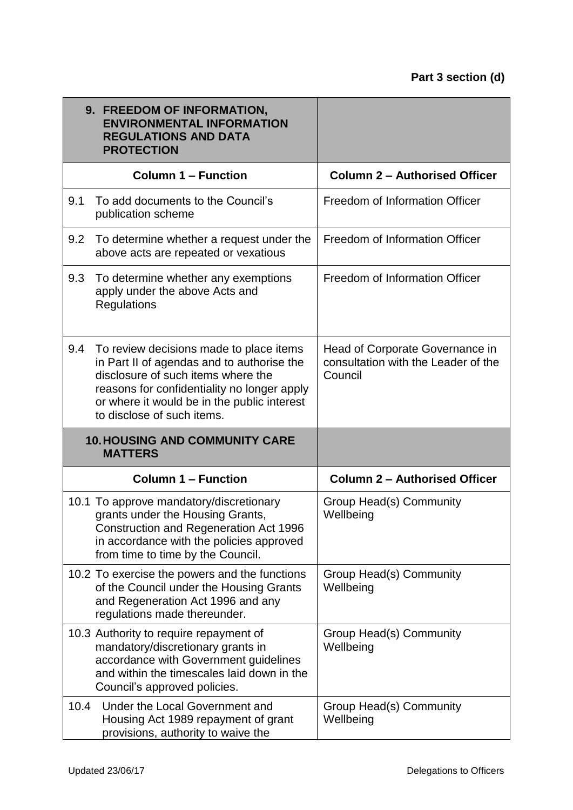|      | 9. FREEDOM OF INFORMATION,<br><b>ENVIRONMENTAL INFORMATION</b><br><b>REGULATIONS AND DATA</b><br><b>PROTECTION</b>                                                                                                                                      |                                                                                   |
|------|---------------------------------------------------------------------------------------------------------------------------------------------------------------------------------------------------------------------------------------------------------|-----------------------------------------------------------------------------------|
|      | <b>Column 1 - Function</b>                                                                                                                                                                                                                              | <b>Column 2 - Authorised Officer</b>                                              |
| 9.1  | To add documents to the Council's<br>publication scheme                                                                                                                                                                                                 | Freedom of Information Officer                                                    |
| 9.2  | To determine whether a request under the<br>above acts are repeated or vexatious                                                                                                                                                                        | Freedom of Information Officer                                                    |
| 9.3  | To determine whether any exemptions<br>apply under the above Acts and<br>Regulations                                                                                                                                                                    | Freedom of Information Officer                                                    |
| 9.4  | To review decisions made to place items<br>in Part II of agendas and to authorise the<br>disclosure of such items where the<br>reasons for confidentiality no longer apply<br>or where it would be in the public interest<br>to disclose of such items. | Head of Corporate Governance in<br>consultation with the Leader of the<br>Council |
|      | <b>10. HOUSING AND COMMUNITY CARE</b><br><b>MATTERS</b>                                                                                                                                                                                                 |                                                                                   |
|      | <b>Column 1 - Function</b>                                                                                                                                                                                                                              | <b>Column 2 - Authorised Officer</b>                                              |
|      | 10.1 To approve mandatory/discretionary<br>grants under the Housing Grants,<br>Construction and Regeneration Act 1996<br>in accordance with the policies approved<br>from time to time by the Council.                                                  | Group Head(s) Community<br>Wellbeing                                              |
|      | 10.2 To exercise the powers and the functions<br>of the Council under the Housing Grants<br>and Regeneration Act 1996 and any<br>regulations made thereunder.                                                                                           | Group Head(s) Community<br>Wellbeing                                              |
|      | 10.3 Authority to require repayment of<br>mandatory/discretionary grants in<br>accordance with Government guidelines<br>and within the timescales laid down in the<br>Council's approved policies.                                                      | Group Head(s) Community<br>Wellbeing                                              |
| 10.4 | Under the Local Government and<br>Housing Act 1989 repayment of grant<br>provisions, authority to waive the                                                                                                                                             | Group Head(s) Community<br>Wellbeing                                              |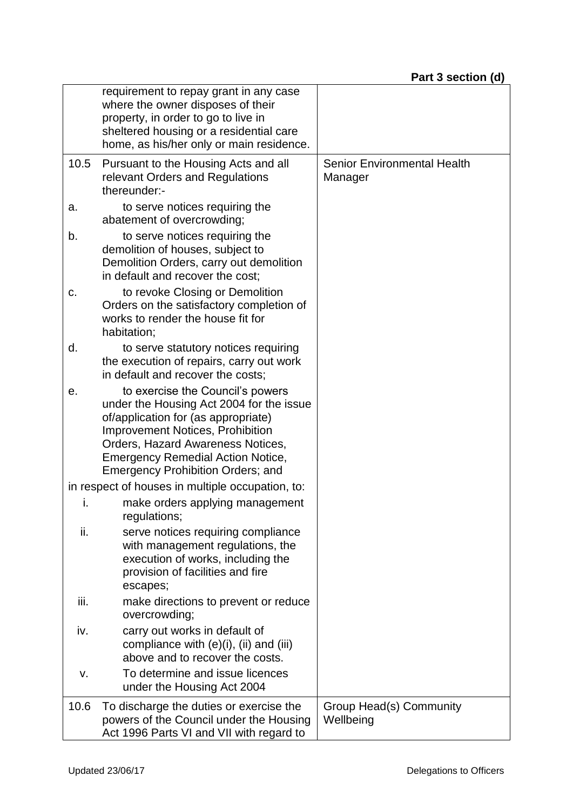|      | requirement to repay grant in any case<br>where the owner disposes of their<br>property, in order to go to live in<br>sheltered housing or a residential care<br>home, as his/her only or main residence.                                                                                   |                                               |
|------|---------------------------------------------------------------------------------------------------------------------------------------------------------------------------------------------------------------------------------------------------------------------------------------------|-----------------------------------------------|
| 10.5 | Pursuant to the Housing Acts and all<br>relevant Orders and Regulations<br>thereunder:-                                                                                                                                                                                                     | <b>Senior Environmental Health</b><br>Manager |
| a.   | to serve notices requiring the<br>abatement of overcrowding;                                                                                                                                                                                                                                |                                               |
| b.   | to serve notices requiring the<br>demolition of houses, subject to<br>Demolition Orders, carry out demolition<br>in default and recover the cost;                                                                                                                                           |                                               |
| c.   | to revoke Closing or Demolition<br>Orders on the satisfactory completion of<br>works to render the house fit for<br>habitation;                                                                                                                                                             |                                               |
| d.   | to serve statutory notices requiring<br>the execution of repairs, carry out work<br>in default and recover the costs;                                                                                                                                                                       |                                               |
| е.   | to exercise the Council's powers<br>under the Housing Act 2004 for the issue<br>of/application for (as appropriate)<br><b>Improvement Notices, Prohibition</b><br>Orders, Hazard Awareness Notices,<br><b>Emergency Remedial Action Notice,</b><br><b>Emergency Prohibition Orders; and</b> |                                               |
|      | in respect of houses in multiple occupation, to:                                                                                                                                                                                                                                            |                                               |
| i.   | make orders applying management<br>regulations;                                                                                                                                                                                                                                             |                                               |
| ii.  | serve notices requiring compliance<br>with management regulations, the<br>execution of works, including the<br>provision of facilities and fire<br>escapes;                                                                                                                                 |                                               |
| iii. | make directions to prevent or reduce<br>overcrowding;                                                                                                                                                                                                                                       |                                               |
| iv.  | carry out works in default of<br>compliance with $(e)(i)$ , $(ii)$ and $(iii)$<br>above and to recover the costs.                                                                                                                                                                           |                                               |
| ٧.   | To determine and issue licences<br>under the Housing Act 2004                                                                                                                                                                                                                               |                                               |
| 10.6 | To discharge the duties or exercise the<br>powers of the Council under the Housing<br>Act 1996 Parts VI and VII with regard to                                                                                                                                                              | Group Head(s) Community<br>Wellbeing          |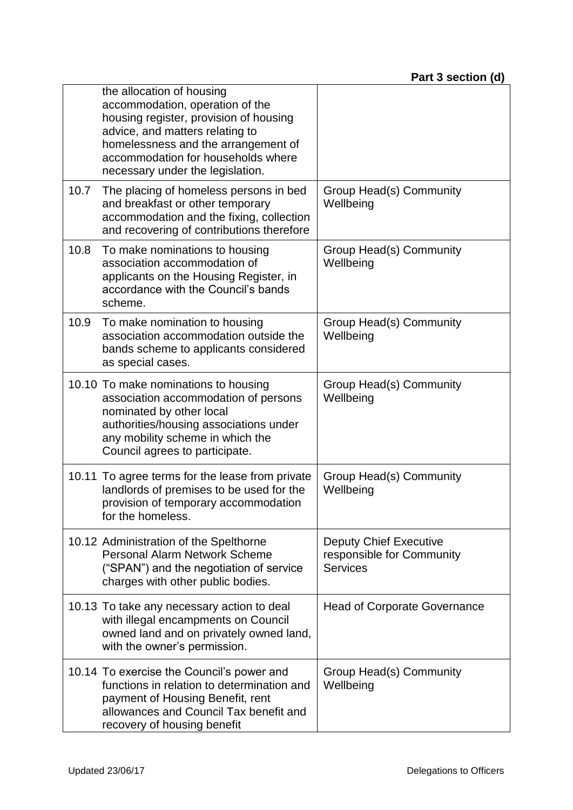|      | the allocation of housing<br>accommodation, operation of the<br>housing register, provision of housing<br>advice, and matters relating to<br>homelessness and the arrangement of<br>accommodation for households where<br>necessary under the legislation. |                                                                               |
|------|------------------------------------------------------------------------------------------------------------------------------------------------------------------------------------------------------------------------------------------------------------|-------------------------------------------------------------------------------|
| 10.7 | The placing of homeless persons in bed<br>and breakfast or other temporary<br>accommodation and the fixing, collection<br>and recovering of contributions therefore                                                                                        | Group Head(s) Community<br>Wellbeing                                          |
| 10.8 | To make nominations to housing<br>association accommodation of<br>applicants on the Housing Register, in<br>accordance with the Council's bands<br>scheme.                                                                                                 | Group Head(s) Community<br>Wellbeing                                          |
| 10.9 | To make nomination to housing<br>association accommodation outside the<br>bands scheme to applicants considered<br>as special cases.                                                                                                                       | Group Head(s) Community<br>Wellbeing                                          |
|      | 10.10 To make nominations to housing<br>association accommodation of persons<br>nominated by other local<br>authorities/housing associations under<br>any mobility scheme in which the<br>Council agrees to participate.                                   | Group Head(s) Community<br>Wellbeing                                          |
|      | 10.11 To agree terms for the lease from private<br>landlords of premises to be used for the<br>provision of temporary accommodation<br>for the homeless                                                                                                    | Group Head(s) Community<br>Wellbeing                                          |
|      | 10.12 Administration of the Spelthorne<br>Personal Alarm Network Scheme<br>("SPAN") and the negotiation of service<br>charges with other public bodies.                                                                                                    | <b>Deputy Chief Executive</b><br>responsible for Community<br><b>Services</b> |
|      | 10.13 To take any necessary action to deal<br>with illegal encampments on Council<br>owned land and on privately owned land,<br>with the owner's permission.                                                                                               | <b>Head of Corporate Governance</b>                                           |
|      | 10.14 To exercise the Council's power and<br>functions in relation to determination and<br>payment of Housing Benefit, rent<br>allowances and Council Tax benefit and<br>recovery of housing benefit                                                       | Group Head(s) Community<br>Wellbeing                                          |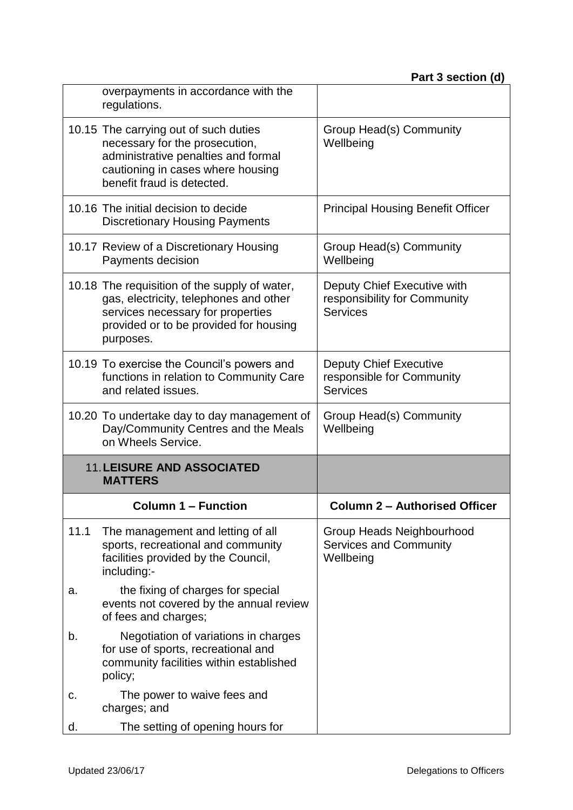|      | overpayments in accordance with the<br>regulations.                                                                                                                                 |                                                                                |
|------|-------------------------------------------------------------------------------------------------------------------------------------------------------------------------------------|--------------------------------------------------------------------------------|
|      | 10.15 The carrying out of such duties<br>necessary for the prosecution,<br>administrative penalties and formal<br>cautioning in cases where housing<br>benefit fraud is detected.   | Group Head(s) Community<br>Wellbeing                                           |
|      | 10.16 The initial decision to decide<br><b>Discretionary Housing Payments</b>                                                                                                       | <b>Principal Housing Benefit Officer</b>                                       |
|      | 10.17 Review of a Discretionary Housing<br>Payments decision                                                                                                                        | Group Head(s) Community<br>Wellbeing                                           |
|      | 10.18 The requisition of the supply of water,<br>gas, electricity, telephones and other<br>services necessary for properties<br>provided or to be provided for housing<br>purposes. | Deputy Chief Executive with<br>responsibility for Community<br><b>Services</b> |
|      | 10.19 To exercise the Council's powers and<br>functions in relation to Community Care<br>and related issues.                                                                        | <b>Deputy Chief Executive</b><br>responsible for Community<br><b>Services</b>  |
|      | 10.20 To undertake day to day management of<br>Day/Community Centres and the Meals<br>on Wheels Service.                                                                            | Group Head(s) Community<br>Wellbeing                                           |
|      | <b>11. LEISURE AND ASSOCIATED</b><br><b>MATTERS</b>                                                                                                                                 |                                                                                |
|      | <b>Column 1 - Function</b>                                                                                                                                                          | <b>Column 2 - Authorised Officer</b>                                           |
| 11.1 | The management and letting of all<br>sports, recreational and community<br>facilities provided by the Council,<br>including:-                                                       | Group Heads Neighbourhood<br><b>Services and Community</b><br>Wellbeing        |
| a.   |                                                                                                                                                                                     |                                                                                |
|      | the fixing of charges for special<br>events not covered by the annual review<br>of fees and charges;                                                                                |                                                                                |
| b.   | Negotiation of variations in charges<br>for use of sports, recreational and<br>community facilities within established<br>policy;                                                   |                                                                                |
| c.   | The power to waive fees and<br>charges; and                                                                                                                                         |                                                                                |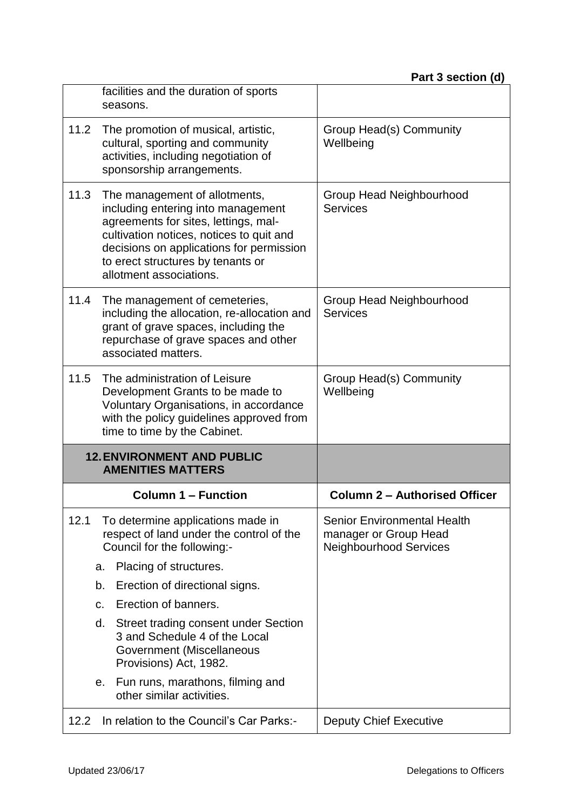|      | facilities and the duration of sports<br>seasons.                                                                                                                                                                                                                   |                                                                                       |
|------|---------------------------------------------------------------------------------------------------------------------------------------------------------------------------------------------------------------------------------------------------------------------|---------------------------------------------------------------------------------------|
| 11.2 | The promotion of musical, artistic,<br>cultural, sporting and community<br>activities, including negotiation of<br>sponsorship arrangements.                                                                                                                        | Group Head(s) Community<br>Wellbeing                                                  |
| 11.3 | The management of allotments,<br>including entering into management<br>agreements for sites, lettings, mal-<br>cultivation notices, notices to quit and<br>decisions on applications for permission<br>to erect structures by tenants or<br>allotment associations. | Group Head Neighbourhood<br><b>Services</b>                                           |
| 11.4 | The management of cemeteries,<br>including the allocation, re-allocation and<br>grant of grave spaces, including the<br>repurchase of grave spaces and other<br>associated matters.                                                                                 | Group Head Neighbourhood<br><b>Services</b>                                           |
| 11.5 | The administration of Leisure<br>Development Grants to be made to<br>Voluntary Organisations, in accordance<br>with the policy guidelines approved from                                                                                                             | Group Head(s) Community<br>Wellbeing                                                  |
|      | time to time by the Cabinet.                                                                                                                                                                                                                                        |                                                                                       |
|      | <b>12. ENVIRONMENT AND PUBLIC</b><br><b>AMENITIES MATTERS</b>                                                                                                                                                                                                       |                                                                                       |
|      | <b>Column 1 - Function</b>                                                                                                                                                                                                                                          | <b>Column 2 - Authorised Officer</b>                                                  |
| 12.1 | To determine applications made in<br>respect of land under the control of the<br>Council for the following:-                                                                                                                                                        | Senior Environmental Health<br>manager or Group Head<br><b>Neighbourhood Services</b> |
|      | Placing of structures.<br>a.                                                                                                                                                                                                                                        |                                                                                       |
|      | Erection of directional signs.<br>b.                                                                                                                                                                                                                                |                                                                                       |
|      | Erection of banners.<br>C.                                                                                                                                                                                                                                          |                                                                                       |
|      | Street trading consent under Section<br>d.<br>3 and Schedule 4 of the Local<br>Government (Miscellaneous<br>Provisions) Act, 1982.                                                                                                                                  |                                                                                       |
|      | Fun runs, marathons, filming and<br>е.<br>other similar activities.                                                                                                                                                                                                 |                                                                                       |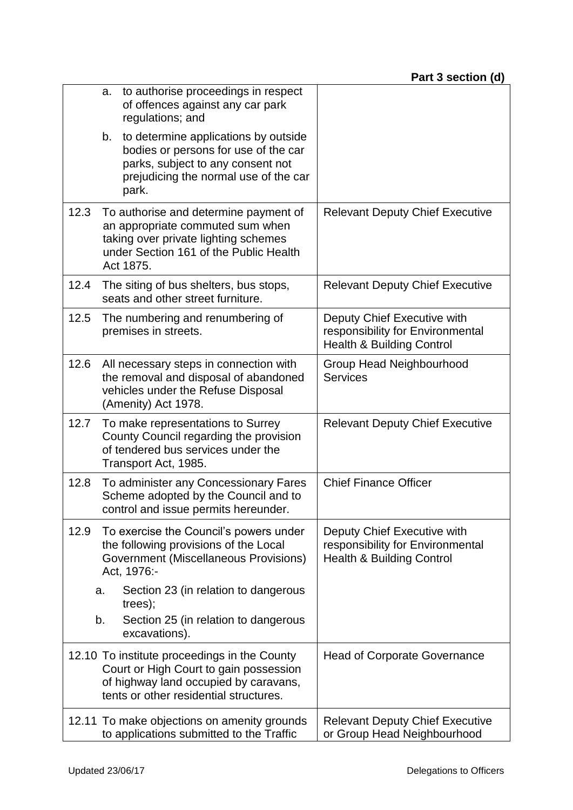|      | a.       | to authorise proceedings in respect<br>of offences against any car park<br>regulations; and                                                                               |                                                                                                         |
|------|----------|---------------------------------------------------------------------------------------------------------------------------------------------------------------------------|---------------------------------------------------------------------------------------------------------|
|      | b.       | to determine applications by outside<br>bodies or persons for use of the car<br>parks, subject to any consent not<br>prejudicing the normal use of the car<br>park.       |                                                                                                         |
| 12.3 |          | To authorise and determine payment of<br>an appropriate commuted sum when<br>taking over private lighting schemes<br>under Section 161 of the Public Health<br>Act 1875.  | <b>Relevant Deputy Chief Executive</b>                                                                  |
| 12.4 |          | The siting of bus shelters, bus stops,<br>seats and other street furniture.                                                                                               | <b>Relevant Deputy Chief Executive</b>                                                                  |
| 12.5 |          | The numbering and renumbering of<br>premises in streets.                                                                                                                  | Deputy Chief Executive with<br>responsibility for Environmental<br><b>Health &amp; Building Control</b> |
| 12.6 |          | All necessary steps in connection with<br>the removal and disposal of abandoned<br>vehicles under the Refuse Disposal<br>(Amenity) Act 1978.                              | <b>Group Head Neighbourhood</b><br><b>Services</b>                                                      |
| 12.7 |          | To make representations to Surrey<br>County Council regarding the provision<br>of tendered bus services under the<br>Transport Act, 1985.                                 | <b>Relevant Deputy Chief Executive</b>                                                                  |
| 12.8 |          | To administer any Concessionary Fares<br>Scheme adopted by the Council and to<br>control and issue permits hereunder.                                                     | <b>Chief Finance Officer</b>                                                                            |
| 12.9 |          | To exercise the Council's powers under<br>the following provisions of the Local<br><b>Government (Miscellaneous Provisions)</b><br>Act, 1976:-                            | Deputy Chief Executive with<br>responsibility for Environmental<br><b>Health &amp; Building Control</b> |
|      | a.<br>b. | Section 23 (in relation to dangerous<br>trees);<br>Section 25 (in relation to dangerous<br>excavations).                                                                  |                                                                                                         |
|      |          | 12.10 To institute proceedings in the County<br>Court or High Court to gain possession<br>of highway land occupied by caravans,<br>tents or other residential structures. | <b>Head of Corporate Governance</b>                                                                     |
|      |          | 12.11 To make objections on amenity grounds<br>to applications submitted to the Traffic                                                                                   | <b>Relevant Deputy Chief Executive</b><br>or Group Head Neighbourhood                                   |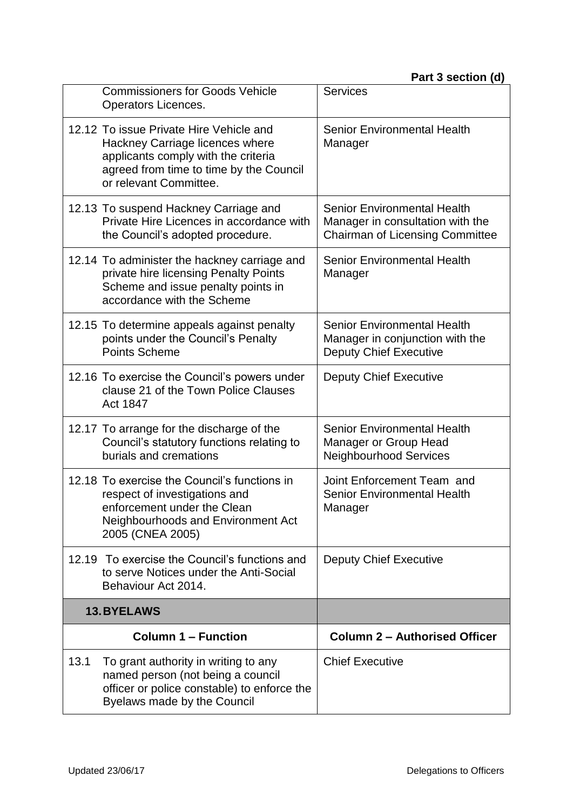|      | <b>Commissioners for Goods Vehicle</b><br>Operators Licences.                                                                                                                          | <b>Services</b>                                                                                                  |
|------|----------------------------------------------------------------------------------------------------------------------------------------------------------------------------------------|------------------------------------------------------------------------------------------------------------------|
|      | 12.12 To issue Private Hire Vehicle and<br>Hackney Carriage licences where<br>applicants comply with the criteria<br>agreed from time to time by the Council<br>or relevant Committee. | <b>Senior Environmental Health</b><br>Manager                                                                    |
|      | 12.13 To suspend Hackney Carriage and<br>Private Hire Licences in accordance with<br>the Council's adopted procedure.                                                                  | <b>Senior Environmental Health</b><br>Manager in consultation with the<br><b>Chairman of Licensing Committee</b> |
|      | 12.14 To administer the hackney carriage and<br>private hire licensing Penalty Points<br>Scheme and issue penalty points in<br>accordance with the Scheme                              | Senior Environmental Health<br>Manager                                                                           |
|      | 12.15 To determine appeals against penalty<br>points under the Council's Penalty<br><b>Points Scheme</b>                                                                               | <b>Senior Environmental Health</b><br>Manager in conjunction with the<br><b>Deputy Chief Executive</b>           |
|      | 12.16 To exercise the Council's powers under<br>clause 21 of the Town Police Clauses<br>Act 1847                                                                                       | <b>Deputy Chief Executive</b>                                                                                    |
|      | 12.17 To arrange for the discharge of the<br>Council's statutory functions relating to<br>burials and cremations                                                                       | <b>Senior Environmental Health</b><br>Manager or Group Head<br><b>Neighbourhood Services</b>                     |
|      | 12.18 To exercise the Council's functions in<br>respect of investigations and<br>enforcement under the Clean<br>Neighbourhoods and Environment Act<br>2005 (CNEA 2005)                 | Joint Enforcement Team and<br><b>Senior Environmental Health</b><br>Manager                                      |
|      | 12.19 To exercise the Council's functions and<br>to serve Notices under the Anti-Social<br>Behaviour Act 2014.                                                                         | <b>Deputy Chief Executive</b>                                                                                    |
|      | <b>13.BYELAWS</b>                                                                                                                                                                      |                                                                                                                  |
|      | <b>Column 1 – Function</b>                                                                                                                                                             | <b>Column 2 - Authorised Officer</b>                                                                             |
| 13.1 | To grant authority in writing to any<br>named person (not being a council<br>officer or police constable) to enforce the<br>Byelaws made by the Council                                | <b>Chief Executive</b>                                                                                           |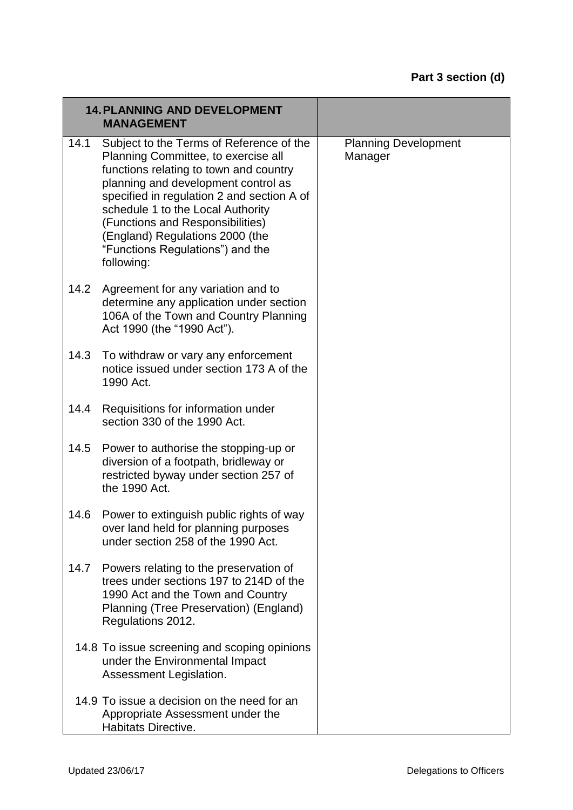|      | <b>14. PLANNING AND DEVELOPMENT</b><br><b>MANAGEMENT</b>                                                                                                                                                                                                                                                                                                                     |                                        |
|------|------------------------------------------------------------------------------------------------------------------------------------------------------------------------------------------------------------------------------------------------------------------------------------------------------------------------------------------------------------------------------|----------------------------------------|
| 14.1 | Subject to the Terms of Reference of the<br>Planning Committee, to exercise all<br>functions relating to town and country<br>planning and development control as<br>specified in regulation 2 and section A of<br>schedule 1 to the Local Authority<br>(Functions and Responsibilities)<br>(England) Regulations 2000 (the<br>"Functions Regulations") and the<br>following: | <b>Planning Development</b><br>Manager |
| 14.2 | Agreement for any variation and to<br>determine any application under section<br>106A of the Town and Country Planning<br>Act 1990 (the "1990 Act").                                                                                                                                                                                                                         |                                        |
| 14.3 | To withdraw or vary any enforcement<br>notice issued under section 173 A of the<br>1990 Act.                                                                                                                                                                                                                                                                                 |                                        |
| 14.4 | Requisitions for information under<br>section 330 of the 1990 Act.                                                                                                                                                                                                                                                                                                           |                                        |
| 14.5 | Power to authorise the stopping-up or<br>diversion of a footpath, bridleway or<br>restricted byway under section 257 of<br>the 1990 Act.                                                                                                                                                                                                                                     |                                        |
| 14.6 | Power to extinguish public rights of way<br>over land held for planning purposes<br>under section 258 of the 1990 Act.                                                                                                                                                                                                                                                       |                                        |
| 14.7 | Powers relating to the preservation of<br>trees under sections 197 to 214D of the<br>1990 Act and the Town and Country<br>Planning (Tree Preservation) (England)<br>Regulations 2012.                                                                                                                                                                                        |                                        |
|      | 14.8 To issue screening and scoping opinions<br>under the Environmental Impact<br>Assessment Legislation.                                                                                                                                                                                                                                                                    |                                        |
|      | 14.9 To issue a decision on the need for an<br>Appropriate Assessment under the<br>Habitats Directive.                                                                                                                                                                                                                                                                       |                                        |